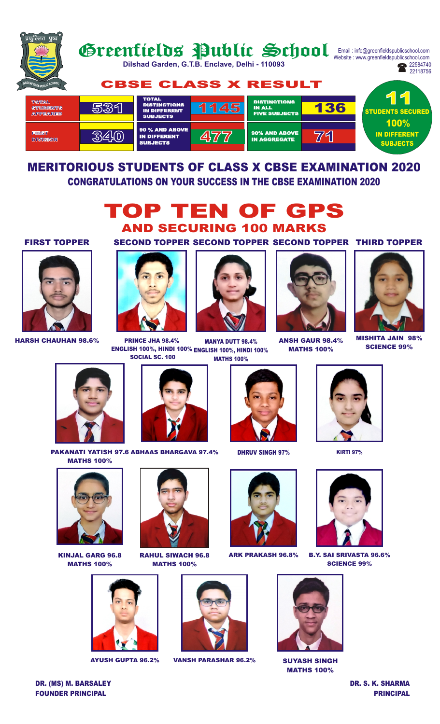

# MERITORIOUS STUDENTS OF CLASS X CBSE EXAMINATION 2020 CONGRATULATIONS ON YOUR SUCCESS IN THE CBSE EXAMINATION 2020



#### FIRST TOPPER



HARSH CHAUHAN 98.6%

### SECOND TOPPER SECOND TOPPER SECOND TOPPER THIRD TOPPER



MANYA DUTT 98.4% ENGLISH 100%, HINDI 100% ENGLISH 100%, HINDI 100% MATHS 100% PRINCE JHA 98.4% SOCIAL SC. 100



ANSH GAUR 98.4% MATHS 100%



MISHITA JAIN 98% SCIENCE 99%



PAKANATI YATISH 97.6 ABHAAS BHARGAVA 97.4% MATHS 100%



KINJAL GARG 96.8 MATHS 100%



RAHUL SIWACH 96.8 MATHS 100%



DHRUV SINGH 97%



ARK PRAKASH 96.8%



AYUSH GUPTA 96.2% VANSH PARASHAR 96.2% SUYASH SINGH





B.Y. SAI SRIVASTA 96.6% SCIENCE 99%



MATHS 100%

DR. (MS) M. BARSALEY DR. S. K. SHARMA

# FOUNDER PRINCIPAL PRINCIPAL